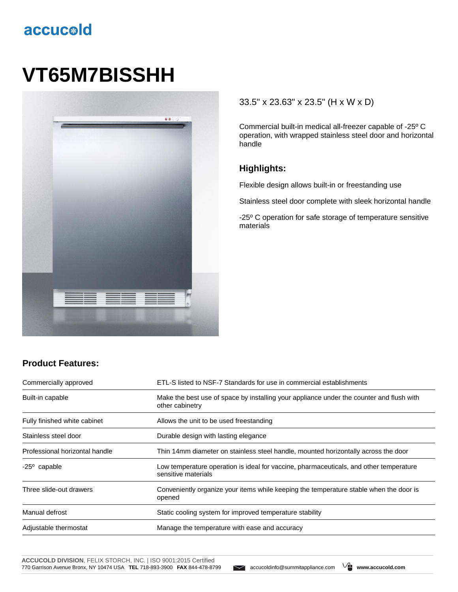# accucold

# **VT65M7BISSHH**



#### 33.5" x 23.63" x 23.5" (H x W x D)

Commercial built-in medical all-freezer capable of -25º C operation, with wrapped stainless steel door and horizontal handle

#### **Highlights:**

Flexible design allows built-in or freestanding use

Stainless steel door complete with sleek horizontal handle

-25º C operation for safe storage of temperature sensitive materials

## **Product Features:**

| Commercially approved          | ETL-S listed to NSF-7 Standards for use in commercial establishments                                          |  |
|--------------------------------|---------------------------------------------------------------------------------------------------------------|--|
| Built-in capable               | Make the best use of space by installing your appliance under the counter and flush with<br>other cabinetry   |  |
| Fully finished white cabinet   | Allows the unit to be used freestanding                                                                       |  |
| Stainless steel door           | Durable design with lasting elegance                                                                          |  |
| Professional horizontal handle | Thin 14mm diameter on stainless steel handle, mounted horizontally across the door                            |  |
| $-25^{\circ}$ capable          | Low temperature operation is ideal for vaccine, pharmaceuticals, and other temperature<br>sensitive materials |  |
| Three slide-out drawers        | Conveniently organize your items while keeping the temperature stable when the door is<br>opened              |  |
| Manual defrost                 | Static cooling system for improved temperature stability                                                      |  |
| Adjustable thermostat          | Manage the temperature with ease and accuracy                                                                 |  |

**ACCUCOLD DIVISION**, FELIX STORCH, INC. | ISO 9001:2015 Certified 770 Garrison Avenue Bronx, NY 10474 USA **TEL** 718-893-3900 **FAX** 844-478-8799 accucoldinfo@summitappliance.com **www.accucold.com**